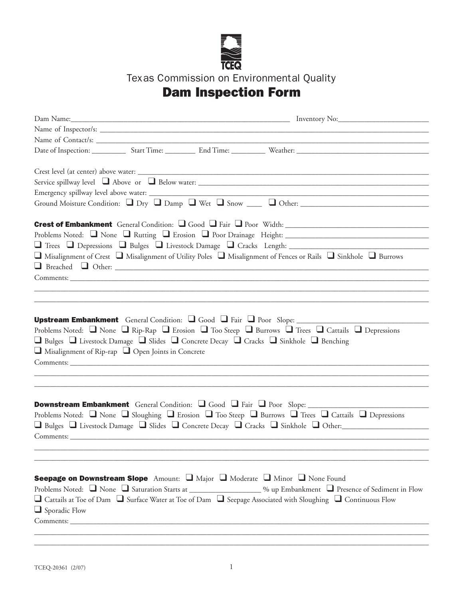

Texas Commission on Environmental Quality

## Dam Inspection Form

|                                                               |  | □ Misalignment of Crest □ Misalignment of Utility Poles □ Misalignment of Fences or Rails □ Sinkhole □ Burrows                                                                                                                                                                 |
|---------------------------------------------------------------|--|--------------------------------------------------------------------------------------------------------------------------------------------------------------------------------------------------------------------------------------------------------------------------------|
|                                                               |  |                                                                                                                                                                                                                                                                                |
|                                                               |  |                                                                                                                                                                                                                                                                                |
|                                                               |  |                                                                                                                                                                                                                                                                                |
|                                                               |  |                                                                                                                                                                                                                                                                                |
| $\Box$ Misalignment of Rip-rap $\Box$ Open Joints in Concrete |  | Problems Noted: $\Box$ None $\Box$ Rip-Rap $\Box$ Erosion $\Box$ Too Steep $\Box$ Burrows $\Box$ Trees $\Box$ Cattails $\Box$ Depressions<br>□ Bulges □ Livestock Damage □ Slides □ Concrete Decay □ Cracks □ Sinkhole □ Benching                                              |
| Comments:                                                     |  | Downstream Embankment General Condition: Q Good Q Fair Q Poor Slope: ____________<br>Problems Noted: Q None Q Sloughing Q Erosion Q Too Steep Q Burrows Q Trees Q Cattails Q Depressions<br>□ Bulges □ Livestock Damage □ Slides □ Concrete Decay □ Cracks □ Sinkhole □ Other: |
|                                                               |  | Seepage on Downstream Slope Amount: I Major I Moderate I Minor I None Found<br>Problems Noted: None Saturation Starts at 1998 Monet Compared to Presence of Sediment in Flow                                                                                                   |
| $\Box$ Sporadic Flow                                          |  | □ Cattails at Toe of Dam □ Surface Water at Toe of Dam □ Seepage Associated with Sloughing □ Continuous Flow                                                                                                                                                                   |
|                                                               |  |                                                                                                                                                                                                                                                                                |

\_\_\_\_\_\_\_\_\_\_\_\_\_\_\_\_\_\_\_\_\_\_\_\_\_\_\_\_\_\_\_\_\_\_\_\_\_\_\_\_\_\_\_\_\_\_\_\_\_\_\_\_\_\_\_\_\_\_\_\_\_\_\_\_\_\_\_\_\_\_\_\_\_\_\_\_\_\_\_\_\_\_\_\_\_\_\_\_\_\_\_\_\_\_\_\_\_\_\_\_\_\_\_\_\_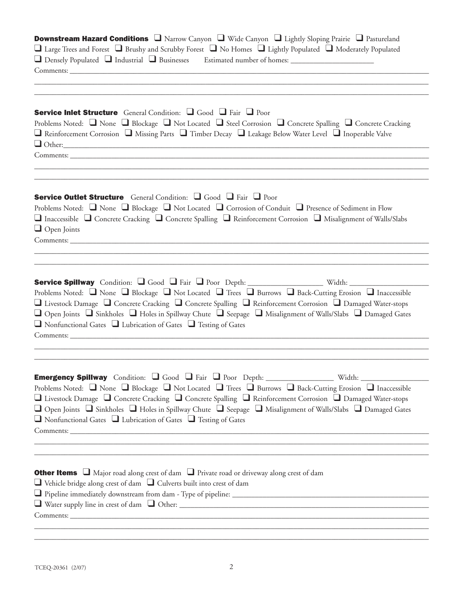| <b>Downstream Hazard Conditions</b> $\Box$ Narrow Canyon $\Box$ Wide Canyon $\Box$ Lightly Sloping Prairie $\Box$ Pastureland<br>□ Large Trees and Forest □ Brushy and Scrubby Forest □ No Homes □ Lightly Populated □ Moderately Populated<br>□ Densely Populated □ Industrial □ Businesses Estimated number of homes: __________________________                                                                                                                                                                             |
|--------------------------------------------------------------------------------------------------------------------------------------------------------------------------------------------------------------------------------------------------------------------------------------------------------------------------------------------------------------------------------------------------------------------------------------------------------------------------------------------------------------------------------|
| Service Inlet Structure General Condition: Q Good Q Fair Q Poor<br>Problems Noted: $\Box$ None $\Box$ Blockage $\Box$ Not Located $\Box$ Steel Corrosion $\Box$ Concrete Spalling $\Box$ Concrete Cracking<br>Reinforcement Corrosion Nissing Parts Timber Decay D Leakage Below Water Level D Inoperable Valve<br>$\Box$ Other:                                                                                                                                                                                               |
| <b>Service Outlet Structure</b> General Condition: Q Good Q Fair Q Poor<br>Problems Noted: $\Box$ None $\Box$ Blockage $\Box$ Not Located $\Box$ Corrosion of Conduit $\Box$ Presence of Sediment in Flow<br>$\Box$ Inaccessible $\Box$ Concrete Cracking $\Box$ Concrete Spalling $\Box$ Reinforcement Corrosion $\Box$ Misalignment of Walls/Slabs<br>$\Box$ Open Joints                                                                                                                                                     |
| Service Spillway Condition: Q Good Q Fair Q Poor Depth: ___________________ Width: _________________<br>Problems Noted: Q None Q Blockage Q Not Located Q Trees Q Burrows Q Back-Cutting Erosion Q Inaccessible<br>□ Livestock Damage □ Concrete Cracking □ Concrete Spalling □ Reinforcement Corrosion □ Damaged Water-stops<br>□ Open Joints □ Sinkholes □ Holes in Spillway Chute □ Seepage □ Misalignment of Walls/Slabs □ Damaged Gates<br>$\Box$ Nonfunctional Gates $\Box$ Lubrication of Gates $\Box$ Testing of Gates |
| Problems Noted: Q None Q Blockage Q Not Located Q Trees Q Burrows Q Back-Cutting Erosion Q Inaccessible<br>□ Livestock Damage □ Concrete Cracking □ Concrete Spalling □ Reinforcement Corrosion □ Damaged Water-stops<br>□ Open Joints □ Sinkholes □ Holes in Spillway Chute □ Seepage □ Misalignment of Walls/Slabs □ Damaged Gates<br>$\Box$ Nonfunctional Gates $\Box$ Lubrication of Gates $\Box$ Testing of Gates                                                                                                         |
| <b>Other Items</b> $\Box$ Major road along crest of dam $\Box$ Private road or driveway along crest of dam<br>$\Box$ Vehicle bridge along crest of dam $\Box$ Culverts built into crest of dam                                                                                                                                                                                                                                                                                                                                 |

\_\_\_\_\_\_\_\_\_\_\_\_\_\_\_\_\_\_\_\_\_\_\_\_\_\_\_\_\_\_\_\_\_\_\_\_\_\_\_\_\_\_\_\_\_\_\_\_\_\_\_\_\_\_\_\_\_\_\_\_\_\_\_\_\_\_\_\_\_\_\_\_\_\_\_\_\_\_\_\_\_\_\_\_\_\_\_\_\_\_\_\_\_\_\_\_\_\_\_\_\_\_\_\_\_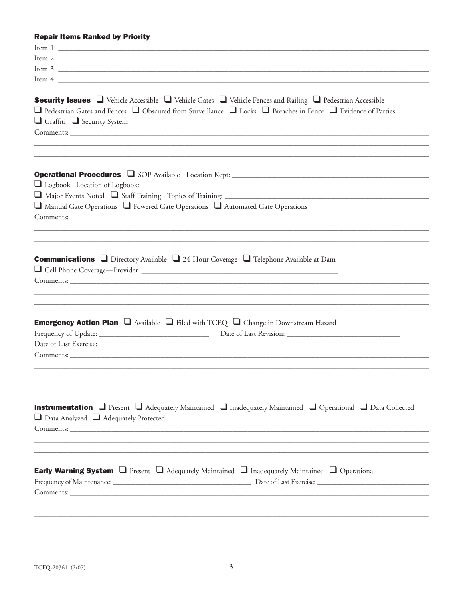## **Repair Items Ranked by Priority**

| Item 3:                                                                                                                                                                                                                                                                                                                                                                                                                                                                                                                                                   |
|-----------------------------------------------------------------------------------------------------------------------------------------------------------------------------------------------------------------------------------------------------------------------------------------------------------------------------------------------------------------------------------------------------------------------------------------------------------------------------------------------------------------------------------------------------------|
| Item $4:$                                                                                                                                                                                                                                                                                                                                                                                                                                                                                                                                                 |
| <b>Security Issues</b> $\Box$ Vehicle Accessible $\Box$ Vehicle Gates $\Box$ Vehicle Fences and Railing $\Box$ Pedestrian Accessible<br>$\Box$ Pedestrian Gates and Fences $\Box$ Obscured from Surveillance $\Box$ Locks $\Box$ Breaches in Fence $\Box$ Evidence of Parties<br>$\Box$ Graffiti $\Box$ Security System<br>Comments: Comments: Comments: Comments: Comments: Comments: Comments: Comments: Comments: Comments: Comments: Comments: Comments: Comments: Comments: Comments: Comments: Comments: Comments: Comments: Comments: Comments: Co |
| $\Box$ Manual Gate Operations $\Box$ Powered Gate Operations $\Box$ Automated Gate Operations                                                                                                                                                                                                                                                                                                                                                                                                                                                             |
|                                                                                                                                                                                                                                                                                                                                                                                                                                                                                                                                                           |
|                                                                                                                                                                                                                                                                                                                                                                                                                                                                                                                                                           |
| <b>Communications</b> $\Box$ Directory Available $\Box$ 24-Hour Coverage $\Box$ Telephone Available at Dam                                                                                                                                                                                                                                                                                                                                                                                                                                                |
|                                                                                                                                                                                                                                                                                                                                                                                                                                                                                                                                                           |
| <b>Emergency Action Plan</b> $\Box$ Available $\Box$ Filed with TCEQ $\Box$ Change in Downstream Hazard                                                                                                                                                                                                                                                                                                                                                                                                                                                   |
| <b>Instrumentation</b> $\Box$ Present $\Box$ Adequately Maintained $\Box$ Inadequately Maintained $\Box$ Operational $\Box$ Data Collected<br>$\Box$ Data Analyzed $\Box$ Adequately Protected                                                                                                                                                                                                                                                                                                                                                            |
|                                                                                                                                                                                                                                                                                                                                                                                                                                                                                                                                                           |
| <b>Early Warning System</b> $\Box$ Present $\Box$ Adequately Maintained $\Box$ Inadequately Maintained $\Box$ Operational                                                                                                                                                                                                                                                                                                                                                                                                                                 |
|                                                                                                                                                                                                                                                                                                                                                                                                                                                                                                                                                           |
|                                                                                                                                                                                                                                                                                                                                                                                                                                                                                                                                                           |